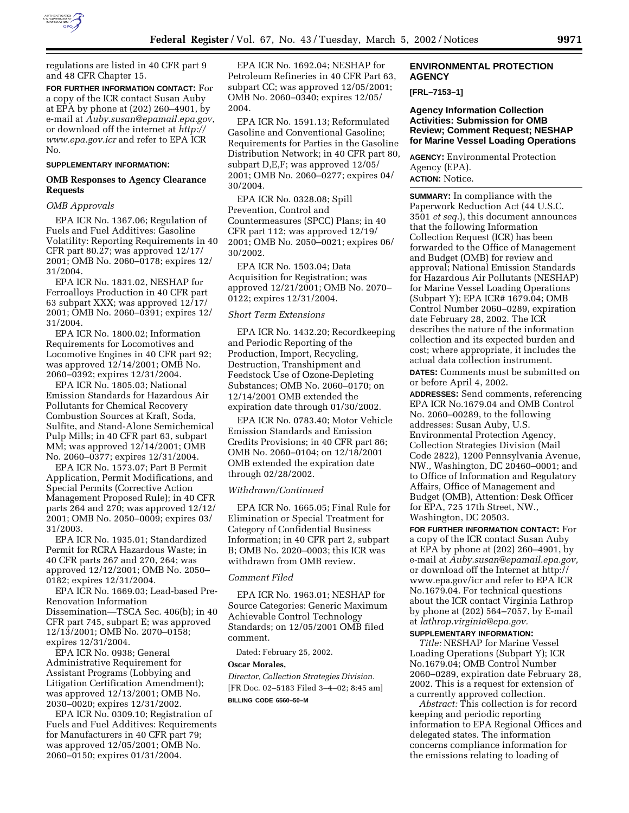

regulations are listed in 40 CFR part 9 and 48 CFR Chapter 15.

**FOR FURTHER INFORMATION CONTACT:** For a copy of the ICR contact Susan Auby at EPA by phone at (202) 260–4901, by e-mail at *Auby.susan@epamail.epa.gov*, or download off the internet at *http:// www.epa.gov.icr* and refer to EPA ICR No.

### **SUPPLEMENTARY INFORMATION:**

### **OMB Responses to Agency Clearance Requests**

### *OMB Approvals*

EPA ICR No. 1367.06; Regulation of Fuels and Fuel Additives: Gasoline Volatility: Reporting Requirements in 40 CFR part 80.27; was approved 12/17/ 2001; OMB No. 2060–0178; expires 12/ 31/2004.

EPA ICR No. 1831.02, NESHAP for Ferroalloys Production in 40 CFR part 63 subpart XXX; was approved 12/17/ 2001; OMB No. 2060–0391; expires 12/ 31/2004.

EPA ICR No. 1800.02; Information Requirements for Locomotives and Locomotive Engines in 40 CFR part 92; was approved 12/14/2001; OMB No. 2060–0392; expires 12/31/2004.

EPA ICR No. 1805.03; National Emission Standards for Hazardous Air Pollutants for Chemical Recovery Combustion Sources at Kraft, Soda, Sulfite, and Stand-Alone Semichemical Pulp Mills; in 40 CFR part 63, subpart MM; was approved 12/14/2001; OMB No. 2060–0377; expires 12/31/2004.

EPA ICR No. 1573.07; Part B Permit Application, Permit Modifications, and Special Permits (Corrective Action Management Proposed Rule); in 40 CFR parts 264 and 270; was approved 12/12/ 2001; OMB No. 2050–0009; expires 03/ 31/2003.

EPA ICR No. 1935.01; Standardized Permit for RCRA Hazardous Waste; in 40 CFR parts 267 and 270, 264; was approved 12/12/2001; OMB No. 2050– 0182; expires 12/31/2004.

EPA ICR No. 1669.03; Lead-based Pre-Renovation Information Dissemination—TSCA Sec. 406(b); in 40 CFR part 745, subpart E; was approved 12/13/2001; OMB No. 2070–0158; expires 12/31/2004.

EPA ICR No. 0938; General Administrative Requirement for Assistant Programs (Lobbying and Litigation Certification Amendment); was approved 12/13/2001; OMB No. 2030–0020; expires 12/31/2002.

EPA ICR No. 0309.10; Registration of Fuels and Fuel Additives: Requirements for Manufacturers in 40 CFR part 79; was approved 12/05/2001; OMB No. 2060–0150; expires 01/31/2004.

EPA ICR No. 1692.04; NESHAP for Petroleum Refineries in 40 CFR Part 63, subpart CC; was approved 12/05/2001; OMB No. 2060–0340; expires 12/05/ 2004.

EPA ICR No. 1591.13; Reformulated Gasoline and Conventional Gasoline; Requirements for Parties in the Gasoline Distribution Network; in 40 CFR part 80, subpart D,E,F; was approved 12/05/ 2001; OMB No. 2060–0277; expires 04/ 30/2004.

EPA ICR No. 0328.08; Spill Prevention, Control and Countermeasures (SPCC) Plans; in 40 CFR part 112; was approved 12/19/ 2001; OMB No. 2050–0021; expires 06/ 30/2002.

EPA ICR No. 1503.04; Data Acquisition for Registration; was approved 12/21/2001; OMB No. 2070– 0122; expires 12/31/2004.

# *Short Term Extensions*

EPA ICR No. 1432.20; Recordkeeping and Periodic Reporting of the Production, Import, Recycling, Destruction, Transhipment and Feedstock Use of Ozone-Depleting Substances; OMB No. 2060–0170; on 12/14/2001 OMB extended the expiration date through 01/30/2002.

EPA ICR No. 0783.40; Motor Vehicle Emission Standards and Emission Credits Provisions; in 40 CFR part 86; OMB No. 2060–0104; on 12/18/2001 OMB extended the expiration date through 02/28/2002.

### *Withdrawn/Continued*

EPA ICR No. 1665.05; Final Rule for Elimination or Special Treatment for Category of Confidential Business Information; in 40 CFR part 2, subpart B; OMB No. 2020–0003; this ICR was withdrawn from OMB review.

### *Comment Filed*

EPA ICR No. 1963.01; NESHAP for Source Categories: Generic Maximum Achievable Control Technology Standards; on 12/05/2001 OMB filed comment.

Dated: February 25, 2002.

### **Oscar Morales,**

*Director, Collection Strategies Division.* [FR Doc. 02–5183 Filed 3–4–02; 8:45 am] **BILLING CODE 6560–50–M**

# **ENVIRONMENTAL PROTECTION AGENCY**

**[FRL–7153–1]**

## **Agency Information Collection Activities: Submission for OMB Review; Comment Request; NESHAP for Marine Vessel Loading Operations**

**AGENCY:** Environmental Protection Agency (EPA). **ACTION:** Notice.

**SUMMARY:** In compliance with the Paperwork Reduction Act (44 U.S.C. 3501 *et seq.*), this document announces that the following Information Collection Request (ICR) has been forwarded to the Office of Management and Budget (OMB) for review and approval; National Emission Standards for Hazardous Air Pollutants (NESHAP) for Marine Vessel Loading Operations (Subpart Y); EPA ICR# 1679.04; OMB Control Number 2060–0289, expiration date February 28, 2002. The ICR describes the nature of the information collection and its expected burden and cost; where appropriate, it includes the actual data collection instrument.

**DATES:** Comments must be submitted on or before April 4, 2002.

**ADDRESSES:** Send comments, referencing EPA ICR No.1679.04 and OMB Control No. 2060–00289, to the following addresses: Susan Auby, U.S. Environmental Protection Agency, Collection Strategies Division (Mail Code 2822), 1200 Pennsylvania Avenue, NW., Washington, DC 20460–0001; and to Office of Information and Regulatory Affairs, Office of Management and Budget (OMB), Attention: Desk Officer for EPA, 725 17th Street, NW., Washington, DC 20503.

**FOR FURTHER INFORMATION CONTACT:** For a copy of the ICR contact Susan Auby at EPA by phone at (202) 260–4901, by e-mail at *Auby.susan@epamail.epa.gov,* or download off the Internet at http:// www.epa.gov/icr and refer to EPA ICR No.1679.04. For technical questions about the ICR contact Virginia Lathrop by phone at (202) 564–7057, by E-mail at *lathrop.virginia@epa.gov.*

### **SUPPLEMENTARY INFORMATION:**

*Title:* NESHAP for Marine Vessel Loading Operations (Subpart Y); ICR No.1679.04; OMB Control Number 2060–0289, expiration date February 28, 2002. This is a request for extension of a currently approved collection.

*Abstract:* This collection is for record keeping and periodic reporting information to EPA Regional Offices and delegated states. The information concerns compliance information for the emissions relating to loading of